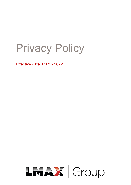# Privacy Policy

Effective date: March 2022

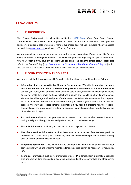

## **PRIVACY POLICY**

## **1. INTRODUCTION**

This Privacy Policy applies to all entities within the LMAX Group ("**we**", "**us**", "**our**", "**ours**", "**ourselves**" or "**LMAX Group**" as appropriate), and sets out the basis on which we collect, process and use your personal data when one or more of our entities deal with you, including when you access our Website [\(www.lmax.com\) a](http://www.lmax.com/)nd use our Trading Platform.

We are committed to protecting your privacy and personal information. Please read this Privacy Policy carefully to ensure you understand our views and practices regarding your personal data and how we will treat it. If you have any questions you can contact us using the details below. Please [also](https://www.lmax.com/documents/LMAXGroup-Cookie-Policy.pdf)  [refer to our Cookie Policy \[https://www.lmax.com/documents/LMAXGroup-Cookie-Policy.pdf\]](https://www.lmax.com/documents/LMAXGroup-Cookie-Policy.pdf) which sets out the use of cookies and other web tracking [technology](https://www.lmax.com/documents/LMAXGroup-Cookie-Policy.pdf) via our website.

## **2. INFORMATION WE MAY COLLECT**

We may collect the following personal information which we have grouped together as follows:

- **Information that you provide by filling in forms on our Website to register you as a customer, create an account or to otherwise provide you with our products and services** such as your name, email address, home address, date of birth, copies of your identitydocuments (including photo ID), email address, telephone number and mobile number, financialstatus, statements and background, and proof of address documentation*.* We may automaticallycapture, store or otherwise process this information about you even if you abandon the application process. We may also collect personal information if you report a problem with the Website. Personal data may include sensitive data, for example information about an individual consisting of racial or ethnicorigin.
- **Account information** such as your username, password, account number, account balance, trading activity and history, interests and preferences, and commission charged.
- **Financial information** such as your bank account and payment card details.
- **Use of our services information** such as information about your use of our Website, products and services. This includes your preferences, feedback and survey responses as well as trading activity, history and commission charged
- **Telephone recordings** if you contact us by telephone we may monitor and/or record your conversations with us and retain the recordings for such periods as may be necessary or requiredby law.
- **Technical information** such as your internet protocol (**IP**) address, login information, browser type and version, time zone setting, operating system and platform, server logs and other similar data.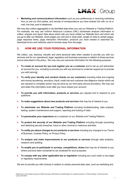

• **Marketing and communications information** such as your preferences in receiving marketing from us and our third parties, and records of correspondence you have entered into with us via email, live chat, post or telephone.

We may also collect aggregated or de-identified data when you use our Website or Trading Platform. For example, we may use Uniform Resource Locators (URL) clickstream analysis information to collect, analyse and report data about which site you have visited our Website from and which site you go to after our Website, which pages you visit and in what order, length of visits to certain pages, page response times, page interaction information, products you have viewed or searched for, download errors and methods used to browse away from the page.

## **3. HOW WE USE YOUR PERSONAL INFORMATION**

We collect, use, disclose, transfer and store personal data when needed to provide you with our services and for our operational, legal, regulatory and business purposes in relation to those services and as described in this policy. We may use your personal information for the following purposes:

- **To create an account for you and register you as a customer** and to set up and administer an account for you, including to provide you with any technical or customer support [or to provide you with training].
- **To verify your identity and conduct checks on our customers** including initial and ongoing anti-money laundering, sanctions, fraud, credit risk and customer due diligence checks which we are required to complete (which may be done by our third party service providers). We may use and retain this information even after you have closed your account.
- **To provide you with information, products or services** you request and to respond to your questions.
- **To make suggestions about new products and services** that may be of interest to you
- **To administer our Website and Trading Platform** including troubleshooting, data analysis, testing, system maintenance and support, reporting and hosting of data.
- **To personalize your experience** as a customer on our Website and Trading Platform.
- **To protect the security of our Website and Trading Platform** including through preventing and detecting security breaches, fraud or other criminal or malicious activities.
- **To notify you about changes to our products or services** including any changes to our Terms of Business, Cookies Policy, or Privacy Policy.
- **To analyse and make improvements to our products or services** through data analytics, research and auditing.
- **To enable you to participate in surveys, competitions, draws** that may be of interest to you where youhave been consented to be contacted for such purposes.
- **To comply with any other applicable law or regulation** including any court order or any legal or regulatory requirements.

We aim to provide you with choices in relation to certain personal data uses, such as marketing and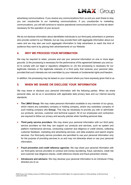

advertising communications. If you receive any communications from us and you want these to stop you can unsubscribe to our marketing communications. If you unsubscribe to marketing communications, you will still continue to receive operational communications from us that we deem necessary for the operation of your account.

We do not disclose information about identifiable individuals to our third-party advertisers or partners who provide content to our Website, but we may provide them with aggregate information about our users and we may also use such aggregate information to help advertisers to reach the kind of audience they want to by placing their advertisements on our Website.

## **4. WHY WE PROCESS YOUR INFORMATION**

We may be required to retain, process and use your personal information on one or more legal grounds: (i) the processing is necessary for the performance of the agreement between you and us; (ii) to comply with our legal or regulatory obligations or; (iii) the processing is necessary for our legitimate interests or the legitimate interests of a third party that receives your personal data, provided that such interests are not overridden by your interests or fundamental rights and freedom.

In addition, the processing may be based on your consent where you have expressly given that to us.

## **5. WHEN WE SHARE OR DISCLOSE YOUR INFORMATION**

We may share or disclose your personal information with the following parties. When we share personal data, we do so in accordance with applicable data privacy laws and our internal security standards.

- **The LMAX Group:** We may make personal information available to any member of our group, which means any subsidiary company or holding company, and/or any subsidiary company of such holding company (the **Group**). This may be necessary to provide you with or administer our products, services, customer and technical support. All of our employees and contractors are required to follow our privacy and security policies when handling personal data.
- **Third party service providers:** We may share your personal information with our third party service providers so that they can support our products and services, such as system and platform maintenance services, conducting customer due diligence or credit checks, collecting customer feedback, marketing and advertising services, and data analytics and search engine services. Our third-party service providers are permitted to use your personal information only for the purpose of providing services to us and may not otherwise share or use your personal information.
- **Fraud prevention and credit reference agencies**: We may share your personal information with our third-party service providers to conduct anti-money laundering, fraud, sanctions, credit risk and customer due diligence checks, credit reference checks and fraud prevention checks.
- **Introducers and advisers:** We may disclose your personal information to an introducer if they directed you to us.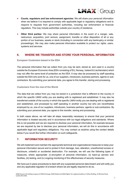

- **Courts, regulators and law enforcement agencies:** We will share your personal information when we believe it is required to comply with applicable legal or regulatory obligations and to respond to requests from government authorities, including law enforcement or financial regulators. This may include authorities outside your country of residence.
- **Other third parties:** We may share personal information in the event of a merger, sale, restructure, acquisition, joint venture, assignment, transfer or other disposition of all or any portion of our business, assets or stock (including in connection with any bankruptcy or similar proceedings). We may also make personal information available to protect our rights, users, systems and services.

## **6. WHERE WE TRANSFER AND STORE YOUR PERSONAL INFORMATION**

#### **European Customers based in the EEA**

The personal information that we collect from you may be sent, stored at, and used in a country outside the European Economic Area (EEA consisting of EU, Norway, Iceland & Liechtenstein) which may not offer the same level of protection as the EEA. It may also be processed by staff operating outside the EEA who work for us, one of our suppliers, introducers, business partners, agents or subcontractors. By submitting your personal data, you agree to this transfer, storing and processing.

#### **Customers from the rest of the World**

The data that we collect from you may be stored in a jurisdiction that is different to the country in which the specific LMAX entity you are dealing with is registered and established. It may also be transferred outside of the country in which the specific LMAX entity you are dealing with is registered and established, and processed by staff operating in another country but who are nevertheless employed by us, one of our suppliers, Introducers, business partners, agents or sub-contractors. By submitting your personal data, you agree to this transfer, storing and processing.

In both cases above, we will take all steps reasonably necessary to ensure that your personal information is treated securely and in accordance with our legal obligations and standards. Where this is not possible and we are required to disclose your personal information, for example because we are required by law to disclose your personal information, we will do this in accordance with applicable legal and regulatory obligations. You may contact us anytime using the contact details below if you would like further information on such safeguards.

## **7. INFORMATION SECURITY**

We will implement and maintain the appropriate technical and organizational measures to keep your personal information secure and to protect it from damage, loss, alteration, unauthorized access or disclosure, unlawful or accidental destruction. For example, we will use the following types of measures, where appropriate: (i) encryption of personal information, (ii) back-up servers and facilities, (iii) testing, and (iv) ongoing monitoring of the effectiveness of security measures.

We have put in place procedures to deal with any suspected personal data breach and will notify you and any applicable regulator of a breach where we are legally required to do so.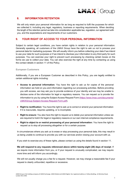

## **8. INFORMATION RETENTION**

We will only retain your personal information for as long as required to fulfil the purposes for which we collected it, including any legal, regulatory, business or reporting requirements. When deciding the length of the retention period we take into consideration applicable law, regulation, our agreement with you, and the expectations and requirements of our customers.

## **9. YOUR RIGHT OF ACCESS TO YOUR PERSONAL INFORMATION**

Subject to certain legal conditions, you have certain rights in relation to your personal information. Generally speaking, all customers of the LMAX Group have the right to ask us not to process your personal data for marketing purposes. We will usually inform you before collecting your data if we intend to use your data for such purposes or if we intend to disclose your information to any third party for such purposes. You can exercise your right to prevent such processing by checking certain boxes on the forms we use to collect your data. You can also exercise the right at any time by contacting us using the contact details in section 11 of this Policy.

#### **European Customers**

Additionally, if you are a European Customer as described in this Policy, you are legally entitled to certain additional rights including:

- **Access to personal information:** You have the right to ask us for copies of the personal information we hold on you and information regarding our processing activities. Before providing you with access, we may ask you to provide evidence of your identity and we may be unable to disclose some of the information for legal or regulatory reasons. You can request us to provide the information to you by using the Subject Access Request Form [\(https://www.lmax.com/documents/](https://www.lmax.com/documents/%20LMAXGroup-Subject-Access-Request-Form.pdf) [LMAXGroup-Subject-Access-Request-Form.pdf\)](https://www.lmax.com/documents/%20LMAXGroup-Subject-Access-Request-Form.pdf).
- **Right to rectification:** You have the right to ask us to correct or amend your personal information if it is inaccurate, requires updating, or is incomplete.
- **Right to erasure:** You also have the right to request us to delete your personal information unless we are required to hold it for legal or regulatory reasons or our own internal compliance requirements.
- **Right to object to or restrict processing of your personal information:** You have the right to request us to stop all processing altogether or for a certain purpose.

In circumstances where you ask us to erase or stop processing your personal data, this may result in us being unable to continue to provide you with our services and/or closing your account with us.

If you wish to exercise any of these rights, please contact us using the details found in section 11.

**We will respond to any requests referenced above within twenty-eight (28) days of receipt**. If we require more information from you, or if your request is unusually complicated, we may require more time and will inform you accordingly.

We will not usually charge you a fee for a request. However, we may charge a reasonable fee if your request is clearly unfounded, repetitive or excessive.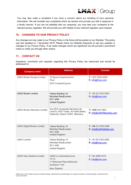

You may also make a complaint if you have a concern about our handling of your personal information. We will consider any complaints which we receive and provide you with a response in a timely manner. If you are not satisfied with our response, you may take your complaint to the relevant privacy regulator. We will provide you with details of your relevant regulator upon request.

# **10. CHANGES TO OUR PRIVACY POLICY**

Any changes we may make to our Privacy Policy in the future will be posted on our Website. This policy was last updated on 1 November 2019. Please check our Website frequently to see any updates or changes to our Privacy Policy. If we make changes which are significant we will provide a prominent notice or notify you through other means

# **11. CONTACT US**

Questions, comments and requests regarding this Privacy Policy are welcomed and should be addressed to:

| <b>Company name</b>                  | <b>Address</b>                                                                                                 | <b>Contact</b>                                 |
|--------------------------------------|----------------------------------------------------------------------------------------------------------------|------------------------------------------------|
| <b>LMAX Broker Europe Limited</b>    | 16 Spyrou Kyprianou2nd<br>Floor<br>3070 LimassolCyprus                                                         | $T: +35725050550$<br>E: info@lmax.com          |
| <b>LMAX Broker Limited</b>           | <b>Yellow Building 1A</b><br>Nicholas RoadLondon<br><b>W11 4AN</b><br>United Kingdom                           | $T: +442031922555$<br>E: info@lmax.com         |
| <b>LMAX Broker Mauritius Limited</b> | C/p GFin Corporate Services Ltd,<br>Level 6, GFin Tower, 42 Hotel Street,<br>Cybercity, Ebene 72201, Mauritius | $T: +2304043900$<br>E: info@LMAXMauritius.com  |
| <b>LMAX Digital Broker Limited</b>   | <b>Yellow Building 1A</b><br>Nicholas RoadLondon<br><b>W11 4AN</b><br><b>United Kingdom</b>                    | T: +44 33 3700 4096<br>E: info@LMAXdigital.com |
| <b>LMAX Limited</b>                  | <b>Yellow Building 1A</b><br>Nicholas RoadLondon<br><b>W11 4AN</b><br>United Kingdom                           | $T: +442031922555$<br>E: info@lmax.com         |
| <b>LMAX New Zealand Limited</b>      | <b>LMAX c/o GeneratorLevel</b><br>$10 - 12$<br>11 Britomart Place Britomart<br>Auckland 1143<br>New Zealand    | $T: +6448894510$<br>E: info@lmax.com           |

LMAX Group is the holding company of LMAX Exchange, LMAX Global and LMAX Digital. Our registered address is Yellow Building, 1A Nicholas Road, London W11 4AN.